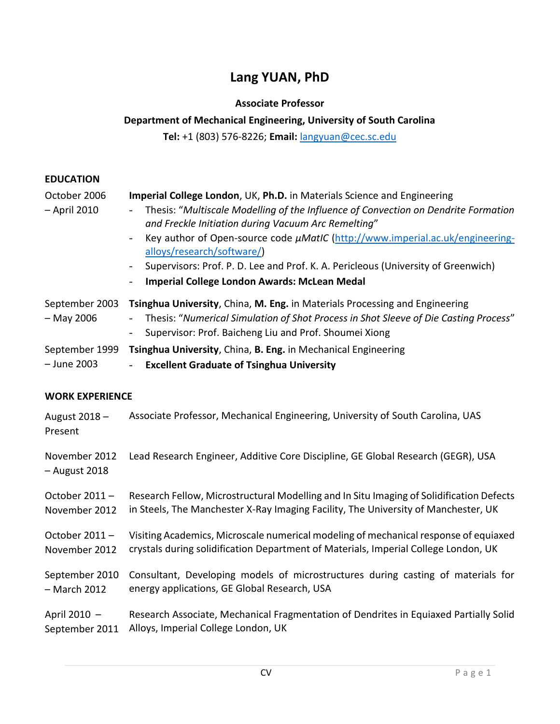# **Lang YUAN, PhD**

# **Associate Professor**

# **Department of Mechanical Engineering, University of South Carolina**

**Tel:** +1 (803) 576-8226; **Email:** langyuan@cec.sc.edu

# **EDUCATION**

| October 2006<br>- April 2010   | Imperial College London, UK, Ph.D. in Materials Science and Engineering<br>Thesis: "Multiscale Modelling of the Influence of Convection on Dendrite Formation<br>and Freckle Initiation during Vacuum Arc Remelting"<br>Key author of Open-source code µMatIC (http://www.imperial.ac.uk/engineering-<br>$\overline{\phantom{0}}$<br>alloys/research/software/)<br>Supervisors: Prof. P. D. Lee and Prof. K. A. Pericleous (University of Greenwich)<br>$\overline{\phantom{a}}$<br>Imperial College London Awards: McLean Medal |
|--------------------------------|----------------------------------------------------------------------------------------------------------------------------------------------------------------------------------------------------------------------------------------------------------------------------------------------------------------------------------------------------------------------------------------------------------------------------------------------------------------------------------------------------------------------------------|
| September 2003<br>$-$ May 2006 | Tsinghua University, China, M. Eng. in Materials Processing and Engineering<br>Thesis: "Numerical Simulation of Shot Process in Shot Sleeve of Die Casting Process"<br>Supervisor: Prof. Baicheng Liu and Prof. Shoumei Xiong<br>$\overline{\phantom{a}}$                                                                                                                                                                                                                                                                        |
| September 1999                 | Tsinghua University, China, B. Eng. in Mechanical Engineering                                                                                                                                                                                                                                                                                                                                                                                                                                                                    |
| - June 2003                    | <b>Excellent Graduate of Tsinghua University</b>                                                                                                                                                                                                                                                                                                                                                                                                                                                                                 |
| <b>WORK EXPERIENCE</b>         |                                                                                                                                                                                                                                                                                                                                                                                                                                                                                                                                  |
| August 2018 -<br>Present       | Associate Professor, Mechanical Engineering, University of South Carolina, UAS                                                                                                                                                                                                                                                                                                                                                                                                                                                   |
| November 2012<br>- August 2018 | Lead Research Engineer, Additive Core Discipline, GE Global Research (GEGR), USA                                                                                                                                                                                                                                                                                                                                                                                                                                                 |
| October 2011-                  | Research Fellow, Microstructural Modelling and In Situ Imaging of Solidification Defects                                                                                                                                                                                                                                                                                                                                                                                                                                         |
| November 2012                  | in Steels, The Manchester X-Ray Imaging Facility, The University of Manchester, UK                                                                                                                                                                                                                                                                                                                                                                                                                                               |
| October 2011-                  | Visiting Academics, Microscale numerical modeling of mechanical response of equiaxed                                                                                                                                                                                                                                                                                                                                                                                                                                             |
| November 2012                  | crystals during solidification Department of Materials, Imperial College London, UK                                                                                                                                                                                                                                                                                                                                                                                                                                              |
| September 2010                 | Consultant, Developing models of microstructures during casting of materials for                                                                                                                                                                                                                                                                                                                                                                                                                                                 |
| - March 2012                   | energy applications, GE Global Research, USA                                                                                                                                                                                                                                                                                                                                                                                                                                                                                     |
| April 2010 -                   | Research Associate, Mechanical Fragmentation of Dendrites in Equiaxed Partially Solid                                                                                                                                                                                                                                                                                                                                                                                                                                            |
| September 2011                 | Alloys, Imperial College London, UK                                                                                                                                                                                                                                                                                                                                                                                                                                                                                              |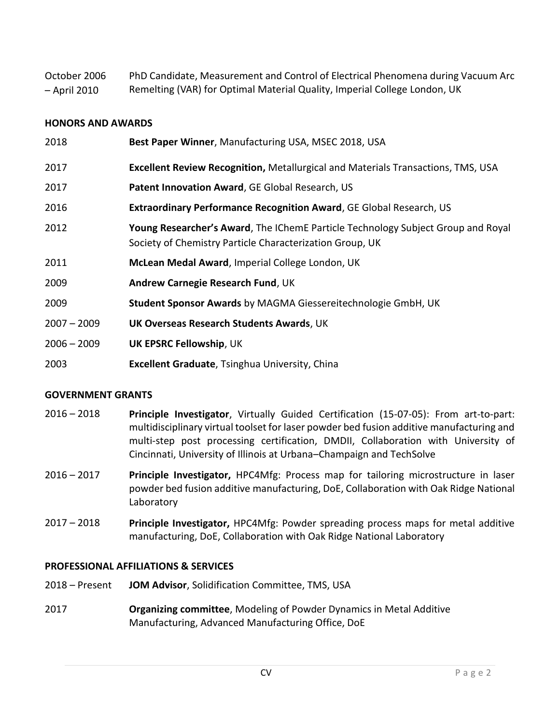| October 2006 | PhD Candidate, Measurement and Control of Electrical Phenomena during Vacuum Arc |
|--------------|----------------------------------------------------------------------------------|
| – April 2010 | Remelting (VAR) for Optimal Material Quality, Imperial College London, UK        |

### **HONORS AND AWARDS**

| 2018          | Best Paper Winner, Manufacturing USA, MSEC 2018, USA                                                                                         |
|---------------|----------------------------------------------------------------------------------------------------------------------------------------------|
| 2017          | <b>Excellent Review Recognition, Metallurgical and Materials Transactions, TMS, USA</b>                                                      |
| 2017          | Patent Innovation Award, GE Global Research, US                                                                                              |
| 2016          | Extraordinary Performance Recognition Award, GE Global Research, US                                                                          |
| 2012          | Young Researcher's Award, The IChemE Particle Technology Subject Group and Royal<br>Society of Chemistry Particle Characterization Group, UK |
| 2011          | McLean Medal Award, Imperial College London, UK                                                                                              |
| 2009          | Andrew Carnegie Research Fund, UK                                                                                                            |
| 2009          | Student Sponsor Awards by MAGMA Giessereitechnologie GmbH, UK                                                                                |
| $2007 - 2009$ | <b>UK Overseas Research Students Awards, UK</b>                                                                                              |
| $2006 - 2009$ | <b>UK EPSRC Fellowship, UK</b>                                                                                                               |
| 2003          | <b>Excellent Graduate, Tsinghua University, China</b>                                                                                        |

## **GOVERNMENT GRANTS**

- 2016 2018 **Principle Investigator**, Virtually Guided Certification (15-07-05): From art-to-part: multidisciplinary virtual toolset for laser powder bed fusion additive manufacturing and multi-step post processing certification, DMDII, Collaboration with University of Cincinnati, University of Illinois at Urbana–Champaign and TechSolve
- 2016 2017 **Principle Investigator,** HPC4Mfg: Process map for tailoring microstructure in laser powder bed fusion additive manufacturing, DoE, Collaboration with Oak Ridge National Laboratory
- 2017 2018 **Principle Investigator,** HPC4Mfg: Powder spreading process maps for metal additive manufacturing, DoE, Collaboration with Oak Ridge National Laboratory

#### **PROFESSIONAL AFFILIATIONS & SERVICES**

- 2018 Present **JOM Advisor**, Solidification Committee, TMS, USA
- 2017 **Organizing committee**, Modeling of Powder Dynamics in Metal Additive Manufacturing, Advanced Manufacturing Office, DoE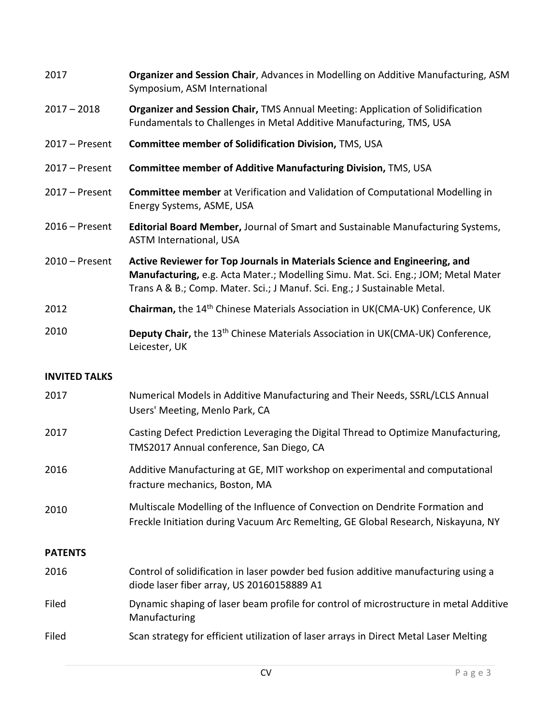| 2017                 | Organizer and Session Chair, Advances in Modelling on Additive Manufacturing, ASM<br>Symposium, ASM International                                                                                                                            |
|----------------------|----------------------------------------------------------------------------------------------------------------------------------------------------------------------------------------------------------------------------------------------|
| $2017 - 2018$        | Organizer and Session Chair, TMS Annual Meeting: Application of Solidification<br>Fundamentals to Challenges in Metal Additive Manufacturing, TMS, USA                                                                                       |
| $2017 -$ Present     | Committee member of Solidification Division, TMS, USA                                                                                                                                                                                        |
| $2017 -$ Present     | Committee member of Additive Manufacturing Division, TMS, USA                                                                                                                                                                                |
| $2017 -$ Present     | Committee member at Verification and Validation of Computational Modelling in<br>Energy Systems, ASME, USA                                                                                                                                   |
| $2016$ – Present     | <b>Editorial Board Member, Journal of Smart and Sustainable Manufacturing Systems,</b><br><b>ASTM International, USA</b>                                                                                                                     |
| $2010$ – Present     | Active Reviewer for Top Journals in Materials Science and Engineering, and<br>Manufacturing, e.g. Acta Mater.; Modelling Simu. Mat. Sci. Eng.; JOM; Metal Mater<br>Trans A & B.; Comp. Mater. Sci.; J Manuf. Sci. Eng.; J Sustainable Metal. |
| 2012                 | Chairman, the 14 <sup>th</sup> Chinese Materials Association in UK(CMA-UK) Conference, UK                                                                                                                                                    |
| 2010                 | Deputy Chair, the 13 <sup>th</sup> Chinese Materials Association in UK(CMA-UK) Conference,<br>Leicester, UK                                                                                                                                  |
|                      |                                                                                                                                                                                                                                              |
| <b>INVITED TALKS</b> |                                                                                                                                                                                                                                              |
| 2017                 | Numerical Models in Additive Manufacturing and Their Needs, SSRL/LCLS Annual<br>Users' Meeting, Menlo Park, CA                                                                                                                               |
| 2017                 | Casting Defect Prediction Leveraging the Digital Thread to Optimize Manufacturing,<br>TMS2017 Annual conference, San Diego, CA                                                                                                               |
| 2016                 | Additive Manufacturing at GE, MIT workshop on experimental and computational<br>fracture mechanics, Boston, MA                                                                                                                               |
| 2010                 | Multiscale Modelling of the Influence of Convection on Dendrite Formation and<br>Freckle Initiation during Vacuum Arc Remelting, GE Global Research, Niskayuna, NY                                                                           |
| <b>PATENTS</b>       |                                                                                                                                                                                                                                              |
| 2016                 | Control of solidification in laser powder bed fusion additive manufacturing using a<br>diode laser fiber array, US 20160158889 A1                                                                                                            |
| Filed                | Dynamic shaping of laser beam profile for control of microstructure in metal Additive<br>Manufacturing                                                                                                                                       |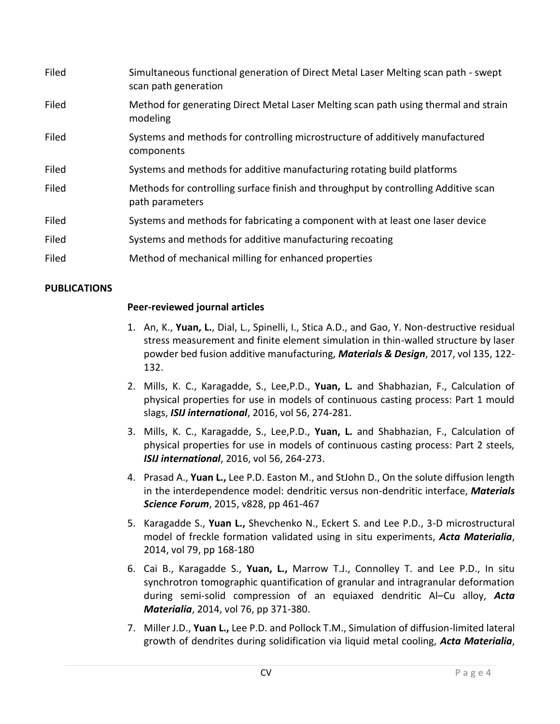| Filed | Simultaneous functional generation of Direct Metal Laser Melting scan path - swept<br>scan path generation |
|-------|------------------------------------------------------------------------------------------------------------|
| Filed | Method for generating Direct Metal Laser Melting scan path using thermal and strain<br>modeling            |
| Filed | Systems and methods for controlling microstructure of additively manufactured<br>components                |
| Filed | Systems and methods for additive manufacturing rotating build platforms                                    |
| Filed | Methods for controlling surface finish and throughput by controlling Additive scan<br>path parameters      |
| Filed | Systems and methods for fabricating a component with at least one laser device                             |
| Filed | Systems and methods for additive manufacturing recoating                                                   |
| Filed | Method of mechanical milling for enhanced properties                                                       |

# **PUBLICATIONS**

## **Peer-reviewed journal articles**

- 1. An, K., **Yuan, L.**, Dial, L., Spinelli, I., Stica A.D., and Gao, Y. Non-destructive residual stress measurement and finite element simulation in thin-walled structure by laser powder bed fusion additive manufacturing, *Materials & Design*, 2017, vol 135, 122- 132.
- 2. Mills, K. C., Karagadde, S., Lee,P.D., **Yuan, L.** and Shabhazian, F., Calculation of physical properties for use in models of continuous casting process: Part 1 mould slags, *ISIJ international*, 2016, vol 56, 274-281.
- 3. Mills, K. C., Karagadde, S., Lee,P.D., **Yuan, L.** and Shabhazian, F., Calculation of physical properties for use in models of continuous casting process: Part 2 steels, *ISIJ international*, 2016, vol 56, 264-273.
- 4. Prasad A., **Yuan L.,** Lee P.D. Easton M., and StJohn D., On the solute diffusion length in the interdependence model: dendritic versus non-dendritic interface, *Materials Science Forum*, 2015, v828, pp 461-467
- 5. Karagadde S., **Yuan L.,** Shevchenko N., Eckert S. and Lee P.D., 3-D microstructural model of freckle formation validated using in situ experiments, *Acta Materialia*, 2014, vol 79, pp 168-180
- 6. Cai B., Karagadde S., **Yuan, L.,** Marrow T.J., Connolley T. and Lee P.D., In situ synchrotron tomographic quantification of granular and intragranular deformation during semi-solid compression of an equiaxed dendritic Al–Cu alloy, *Acta Materialia*, 2014, vol 76, pp 371-380.
- 7. Miller J.D., **Yuan L.,** Lee P.D. and Pollock T.M., Simulation of diffusion-limited lateral growth of dendrites during solidification via liquid metal cooling, *Acta Materialia*,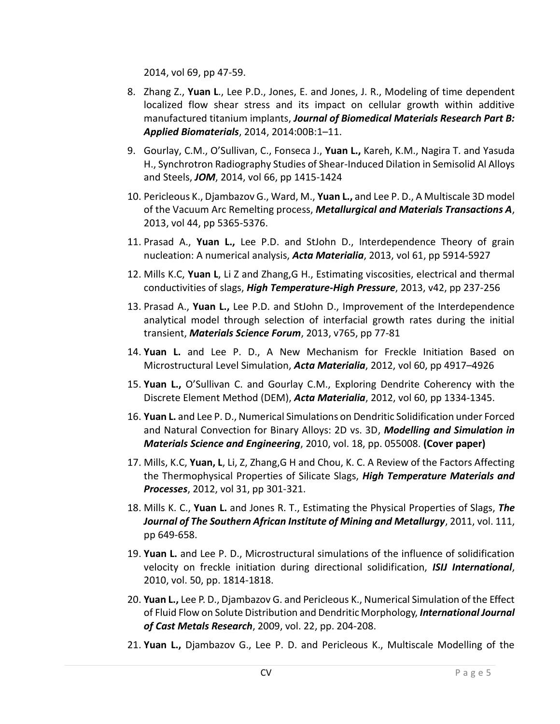2014, vol 69, pp 47-59.

- 8. Zhang Z., **Yuan L**., Lee P.D., Jones, E. and Jones, J. R., Modeling of time dependent localized flow shear stress and its impact on cellular growth within additive manufactured titanium implants, *Journal of Biomedical Materials Research Part B: Applied Biomaterials*, 2014, 2014:00B:1–11.
- 9. Gourlay, C.M., O'Sullivan, C., Fonseca J., **Yuan L.,** Kareh, K.M., Nagira T. and Yasuda H., Synchrotron Radiography Studies of Shear-Induced Dilation in Semisolid Al Alloys and Steels, *JOM*, 2014, vol 66, pp 1415-1424
- 10. Pericleous K., Djambazov G., Ward, M., **Yuan L.,** and Lee P. D., A Multiscale 3D model of the Vacuum Arc Remelting process, *Metallurgical and Materials Transactions A*, 2013, vol 44, pp 5365-5376.
- 11. Prasad A., **Yuan L.,** Lee P.D. and StJohn D., Interdependence Theory of grain nucleation: A numerical analysis, *Acta Materialia*, 2013, vol 61, pp 5914-5927
- 12. Mills K.C, **Yuan L**, Li Z and Zhang,G H., Estimating viscosities, electrical and thermal conductivities of slags, *High Temperature-High Pressure*, 2013, v42, pp 237-256
- 13. Prasad A., **Yuan L.,** Lee P.D. and StJohn D., Improvement of the Interdependence analytical model through selection of interfacial growth rates during the initial transient, *Materials Science Forum*, 2013, v765, pp 77-81
- 14. **Yuan L.** and Lee P. D., A New Mechanism for Freckle Initiation Based on Microstructural Level Simulation, *Acta Materialia*, 2012, vol 60, pp 4917–4926
- 15. **Yuan L.,** O'Sullivan C. and Gourlay C.M., Exploring Dendrite Coherency with the Discrete Element Method (DEM), *Acta Materialia*, 2012, vol 60, pp 1334-1345.
- 16. **Yuan L.** and Lee P. D., Numerical Simulations on Dendritic Solidification under Forced and Natural Convection for Binary Alloys: 2D vs. 3D, *Modelling and Simulation in Materials Science and Engineering*, 2010, vol. 18, pp. 055008. **(Cover paper)**
- 17. Mills, K.C, **Yuan, L**, Li, Z, Zhang,G H and Chou, K. C. A Review of the Factors Affecting the Thermophysical Properties of Silicate Slags, *High Temperature Materials and Processes*, 2012, vol 31, pp 301-321.
- 18. Mills K. C., **Yuan L.** and Jones R. T., Estimating the Physical Properties of Slags, *The Journal of The Southern African Institute of Mining and Metallurgy*, 2011, vol. 111, pp 649-658.
- 19. **Yuan L.** and Lee P. D., Microstructural simulations of the influence of solidification velocity on freckle initiation during directional solidification, *ISIJ International*, 2010, vol. 50, pp. 1814-1818.
- 20. **Yuan L.,** Lee P. D., Djambazov G. and Pericleous K., Numerical Simulation of the Effect of Fluid Flow on Solute Distribution and Dendritic Morphology, *International Journal of Cast Metals Research*, 2009, vol. 22, pp. 204-208.
- 21. **Yuan L.,** Djambazov G., Lee P. D. and Pericleous K., Multiscale Modelling of the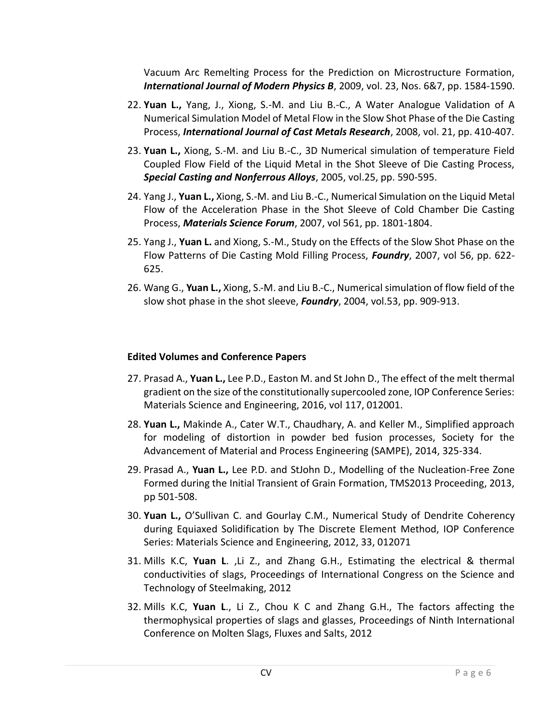Vacuum Arc Remelting Process for the Prediction on Microstructure Formation, *International Journal of Modern Physics B*, 2009, vol. 23, Nos. 6&7, pp. 1584-1590.

- 22. **Yuan L.,** Yang, J., Xiong, S.-M. and Liu B.-C., A Water Analogue Validation of A Numerical Simulation Model of Metal Flow in the Slow Shot Phase of the Die Casting Process, *International Journal of Cast Metals Research*, 2008, vol. 21, pp. 410-407.
- 23. **Yuan L.,** Xiong, S.-M. and Liu B.-C., 3D Numerical simulation of temperature Field Coupled Flow Field of the Liquid Metal in the Shot Sleeve of Die Casting Process, *Special Casting and Nonferrous Alloys*, 2005, vol.25, pp. 590-595.
- 24. Yang J., **Yuan L.,** Xiong, S.-M. and Liu B.-C., Numerical Simulation on the Liquid Metal Flow of the Acceleration Phase in the Shot Sleeve of Cold Chamber Die Casting Process, *Materials Science Forum*, 2007, vol 561, pp. 1801-1804.
- 25. Yang J., **Yuan L.** and Xiong, S.-M., Study on the Effects of the Slow Shot Phase on the Flow Patterns of Die Casting Mold Filling Process, *Foundry*, 2007, vol 56, pp. 622- 625.
- 26. Wang G., **Yuan L.,** Xiong, S.-M. and Liu B.-C., Numerical simulation of flow field of the slow shot phase in the shot sleeve, *Foundry*, 2004, vol.53, pp. 909-913.

# **Edited Volumes and Conference Papers**

- 27. Prasad A., **Yuan L.,** Lee P.D., Easton M. and St John D., The effect of the melt thermal gradient on the size of the constitutionally supercooled zone, IOP Conference Series: Materials Science and Engineering, 2016, vol 117, 012001.
- 28. **Yuan L.,** Makinde A., Cater W.T., Chaudhary, A. and Keller M., Simplified approach for modeling of distortion in powder bed fusion processes, Society for the Advancement of Material and Process Engineering (SAMPE), 2014, 325-334.
- 29. Prasad A., **Yuan L.,** Lee P.D. and StJohn D., Modelling of the Nucleation-Free Zone Formed during the Initial Transient of Grain Formation, TMS2013 Proceeding, 2013, pp 501-508.
- 30. **Yuan L.,** O'Sullivan C. and Gourlay C.M., Numerical Study of Dendrite Coherency during Equiaxed Solidification by The Discrete Element Method, IOP Conference Series: Materials Science and Engineering, 2012, 33, 012071
- 31. Mills K.C, **Yuan L**. ,Li Z., and Zhang G.H., Estimating the electrical & thermal conductivities of slags, Proceedings of International Congress on the Science and Technology of Steelmaking, 2012
- 32. Mills K.C, **Yuan L**., Li Z., Chou K C and Zhang G.H., The factors affecting the thermophysical properties of slags and glasses, Proceedings of Ninth International Conference on Molten Slags, Fluxes and Salts, 2012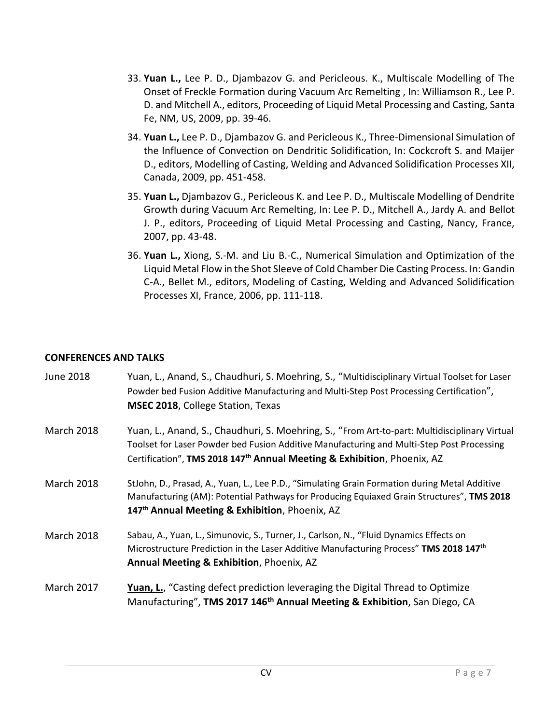- 33. **Yuan L.,** Lee P. D., Djambazov G. and Pericleous. K., Multiscale Modelling of The Onset of Freckle Formation during Vacuum Arc Remelting , In: Williamson R., Lee P. D. and Mitchell A., editors, Proceeding of Liquid Metal Processing and Casting, Santa Fe, NM, US, 2009, pp. 39-46.
- 34. **Yuan L.,** Lee P. D., Djambazov G. and Pericleous K., Three-Dimensional Simulation of the Influence of Convection on Dendritic Solidification, In: Cockcroft S. and Maijer D., editors, Modelling of Casting, Welding and Advanced Solidification Processes XII, Canada, 2009, pp. 451-458.
- 35. **Yuan L.,** Djambazov G., Pericleous K. and Lee P. D., Multiscale Modelling of Dendrite Growth during Vacuum Arc Remelting, In: Lee P. D., Mitchell A., Jardy A. and Bellot J. P., editors, Proceeding of Liquid Metal Processing and Casting, Nancy, France, 2007, pp. 43-48.
- 36. **Yuan L.,** Xiong, S.-M. and Liu B.-C., Numerical Simulation and Optimization of the Liquid Metal Flow in the Shot Sleeve of Cold Chamber Die Casting Process. In: Gandin C-A., Bellet M., editors, Modeling of Casting, Welding and Advanced Solidification Processes XI, France, 2006, pp. 111-118.

## **CONFERENCES AND TALKS**

| June 2018         | Yuan, L., Anand, S., Chaudhuri, S. Moehring, S., "Multidisciplinary Virtual Toolset for Laser<br>Powder bed Fusion Additive Manufacturing and Multi-Step Post Processing Certification",<br><b>MSEC 2018, College Station, Texas</b>                                              |
|-------------------|-----------------------------------------------------------------------------------------------------------------------------------------------------------------------------------------------------------------------------------------------------------------------------------|
| <b>March 2018</b> | Yuan, L., Anand, S., Chaudhuri, S. Moehring, S., "From Art-to-part: Multidisciplinary Virtual<br>Toolset for Laser Powder bed Fusion Additive Manufacturing and Multi-Step Post Processing<br>Certification", TMS 2018 147 <sup>th</sup> Annual Meeting & Exhibition, Phoenix, AZ |
| <b>March 2018</b> | StJohn, D., Prasad, A., Yuan, L., Lee P.D., "Simulating Grain Formation during Metal Additive<br>Manufacturing (AM): Potential Pathways for Producing Equiaxed Grain Structures", TMS 2018<br>147 <sup>th</sup> Annual Meeting & Exhibition, Phoenix, AZ                          |
| <b>March 2018</b> | Sabau, A., Yuan, L., Simunovic, S., Turner, J., Carlson, N., "Fluid Dynamics Effects on<br>Microstructure Prediction in the Laser Additive Manufacturing Process" TMS 2018 147 <sup>th</sup><br>Annual Meeting & Exhibition, Phoenix, AZ                                          |
| <b>March 2017</b> | Yuan, L., "Casting defect prediction leveraging the Digital Thread to Optimize<br>Manufacturing", TMS 2017 146 <sup>th</sup> Annual Meeting & Exhibition, San Diego, CA                                                                                                           |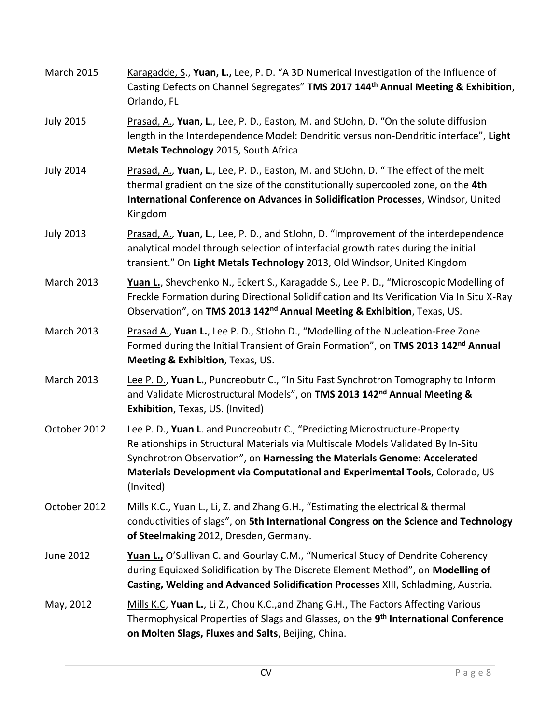| <b>March 2015</b> | Karagadde, S., Yuan, L., Lee, P. D. "A 3D Numerical Investigation of the Influence of<br>Casting Defects on Channel Segregates" TMS 2017 144 <sup>th</sup> Annual Meeting & Exhibition,<br>Orlando, FL                                                                                                                                   |
|-------------------|------------------------------------------------------------------------------------------------------------------------------------------------------------------------------------------------------------------------------------------------------------------------------------------------------------------------------------------|
| <b>July 2015</b>  | Prasad, A., Yuan, L., Lee, P. D., Easton, M. and StJohn, D. "On the solute diffusion<br>length in the Interdependence Model: Dendritic versus non-Dendritic interface", Light<br>Metals Technology 2015, South Africa                                                                                                                    |
| <b>July 2014</b>  | Prasad, A., Yuan, L., Lee, P. D., Easton, M. and StJohn, D. "The effect of the melt<br>thermal gradient on the size of the constitutionally supercooled zone, on the 4th<br>International Conference on Advances in Solidification Processes, Windsor, United<br>Kingdom                                                                 |
| <b>July 2013</b>  | Prasad, A., Yuan, L., Lee, P. D., and StJohn, D. "Improvement of the interdependence<br>analytical model through selection of interfacial growth rates during the initial<br>transient." On Light Metals Technology 2013, Old Windsor, United Kingdom                                                                                    |
| <b>March 2013</b> | Yuan L., Shevchenko N., Eckert S., Karagadde S., Lee P. D., "Microscopic Modelling of<br>Freckle Formation during Directional Solidification and Its Verification Via In Situ X-Ray<br>Observation", on TMS 2013 142 <sup>nd</sup> Annual Meeting & Exhibition, Texas, US.                                                               |
| <b>March 2013</b> | Prasad A., Yuan L., Lee P. D., StJohn D., "Modelling of the Nucleation-Free Zone<br>Formed during the Initial Transient of Grain Formation", on TMS 2013 142 <sup>nd</sup> Annual<br>Meeting & Exhibition, Texas, US.                                                                                                                    |
| <b>March 2013</b> | Lee P. D., Yuan L., Puncreobutr C., "In Situ Fast Synchrotron Tomography to Inform<br>and Validate Microstructural Models", on TMS 2013 142 <sup>nd</sup> Annual Meeting &<br>Exhibition, Texas, US. (Invited)                                                                                                                           |
| October 2012      | Lee P. D., Yuan L. and Puncreobutr C., "Predicting Microstructure-Property<br>Relationships in Structural Materials via Multiscale Models Validated By In-Situ<br>Synchrotron Observation", on Harnessing the Materials Genome: Accelerated<br>Materials Development via Computational and Experimental Tools, Colorado, US<br>(Invited) |
| October 2012      | Mills K.C., Yuan L., Li, Z. and Zhang G.H., "Estimating the electrical & thermal<br>conductivities of slags", on 5th International Congress on the Science and Technology<br>of Steelmaking 2012, Dresden, Germany.                                                                                                                      |
| June 2012         | Yuan L., O'Sullivan C. and Gourlay C.M., "Numerical Study of Dendrite Coherency<br>during Equiaxed Solidification by The Discrete Element Method", on Modelling of<br>Casting, Welding and Advanced Solidification Processes XIII, Schladming, Austria.                                                                                  |
| May, 2012         | Mills K.C, Yuan L., Li Z., Chou K.C., and Zhang G.H., The Factors Affecting Various<br>Thermophysical Properties of Slags and Glasses, on the 9 <sup>th</sup> International Conference<br>on Molten Slags, Fluxes and Salts, Beijing, China.                                                                                             |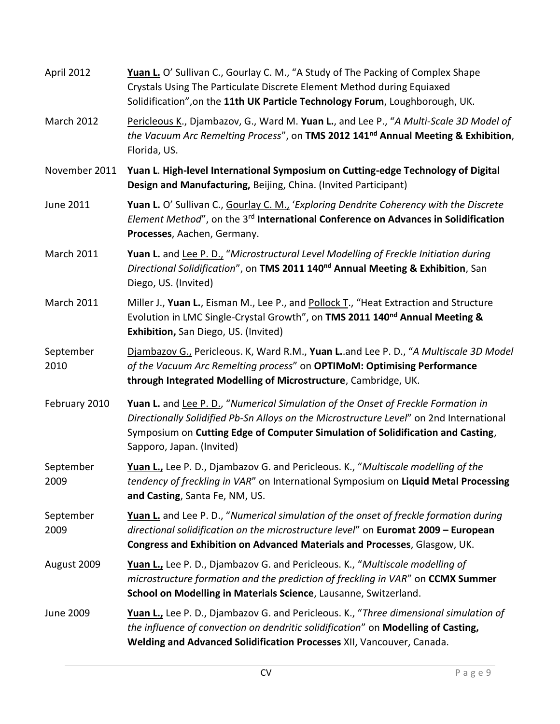| April 2012        | Yuan L. O' Sullivan C., Gourlay C. M., "A Study of The Packing of Complex Shape<br>Crystals Using The Particulate Discrete Element Method during Equiaxed<br>Solidification", on the 11th UK Particle Technology Forum, Loughborough, UK.                                                    |
|-------------------|----------------------------------------------------------------------------------------------------------------------------------------------------------------------------------------------------------------------------------------------------------------------------------------------|
| <b>March 2012</b> | Pericleous K., Djambazov, G., Ward M. Yuan L., and Lee P., "A Multi-Scale 3D Model of<br>the Vacuum Arc Remelting Process", on TMS 2012 141 <sup>nd</sup> Annual Meeting & Exhibition,<br>Florida, US.                                                                                       |
| November 2011     | Yuan L. High-level International Symposium on Cutting-edge Technology of Digital<br>Design and Manufacturing, Beijing, China. (Invited Participant)                                                                                                                                          |
| June 2011         | Yuan L. O' Sullivan C., Gourlay C. M., 'Exploring Dendrite Coherency with the Discrete<br>Element Method", on the 3 <sup>rd</sup> International Conference on Advances in Solidification<br>Processes, Aachen, Germany.                                                                      |
| <b>March 2011</b> | Yuan L. and Lee P. D., "Microstructural Level Modelling of Freckle Initiation during<br>Directional Solidification", on TMS 2011 140 <sup>nd</sup> Annual Meeting & Exhibition, San<br>Diego, US. (Invited)                                                                                  |
| <b>March 2011</b> | Miller J., Yuan L., Eisman M., Lee P., and Pollock T., "Heat Extraction and Structure<br>Evolution in LMC Single-Crystal Growth", on TMS 2011 140 <sup>nd</sup> Annual Meeting &<br>Exhibition, San Diego, US. (Invited)                                                                     |
| September<br>2010 | Djambazov G., Pericleous. K, Ward R.M., Yuan L. and Lee P. D., "A Multiscale 3D Model<br>of the Vacuum Arc Remelting process" on OPTIMoM: Optimising Performance<br>through Integrated Modelling of Microstructure, Cambridge, UK.                                                           |
| February 2010     | Yuan L. and Lee P. D., "Numerical Simulation of the Onset of Freckle Formation in<br>Directionally Solidified Pb-Sn Alloys on the Microstructure Level" on 2nd International<br>Symposium on Cutting Edge of Computer Simulation of Solidification and Casting,<br>Sapporo, Japan. (Invited) |
| September<br>2009 | Yuan L., Lee P. D., Djambazov G. and Pericleous. K., "Multiscale modelling of the<br>tendency of freckling in VAR" on International Symposium on Liquid Metal Processing<br>and Casting, Santa Fe, NM, US.                                                                                   |
| September<br>2009 | Yuan L. and Lee P. D., "Numerical simulation of the onset of freckle formation during<br>directional solidification on the microstructure level" on Euromat 2009 - European<br>Congress and Exhibition on Advanced Materials and Processes, Glasgow, UK.                                     |
| August 2009       | Yuan L., Lee P. D., Djambazov G. and Pericleous. K., "Multiscale modelling of<br>microstructure formation and the prediction of freckling in VAR" on CCMX Summer<br>School on Modelling in Materials Science, Lausanne, Switzerland.                                                         |
| June 2009         | Yuan L., Lee P. D., Djambazov G. and Pericleous. K., "Three dimensional simulation of<br>the influence of convection on dendritic solidification" on Modelling of Casting,<br>Welding and Advanced Solidification Processes XII, Vancouver, Canada.                                          |